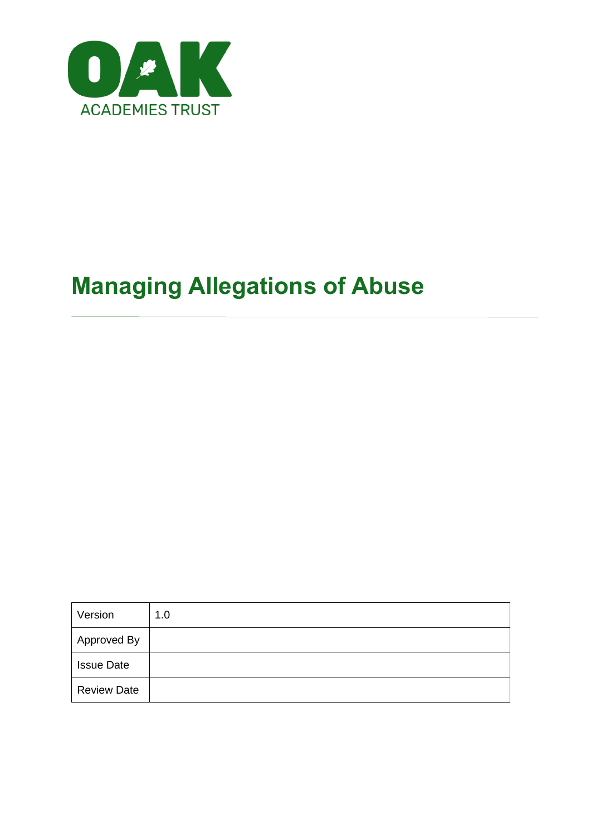

# **Managing Allegations of Abuse**

| Version            | 1.0 |
|--------------------|-----|
| Approved By        |     |
| <b>Issue Date</b>  |     |
| <b>Review Date</b> |     |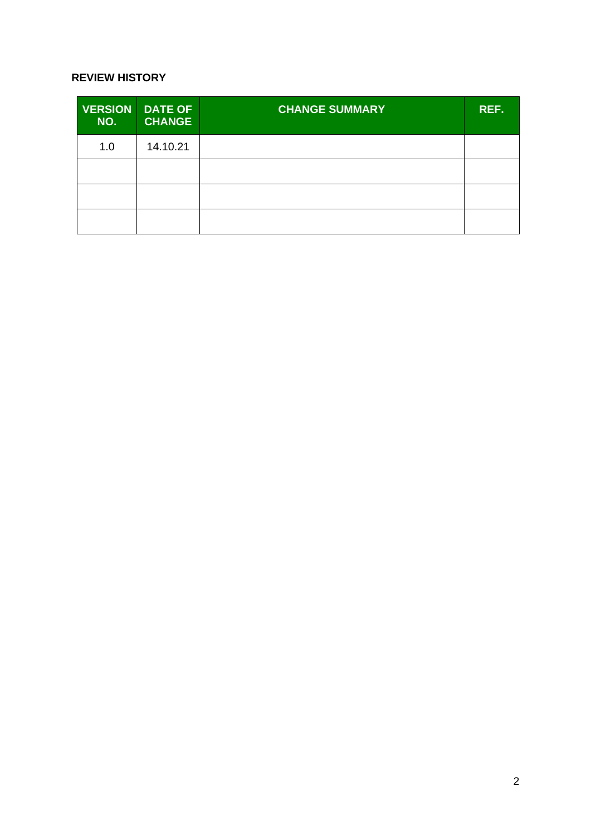#### **REVIEW HISTORY**

| NO. | <b>VERSION DATE OF</b><br><b>CHANGE</b> | <b>CHANGE SUMMARY</b> | REF. |
|-----|-----------------------------------------|-----------------------|------|
| 1.0 | 14.10.21                                |                       |      |
|     |                                         |                       |      |
|     |                                         |                       |      |
|     |                                         |                       |      |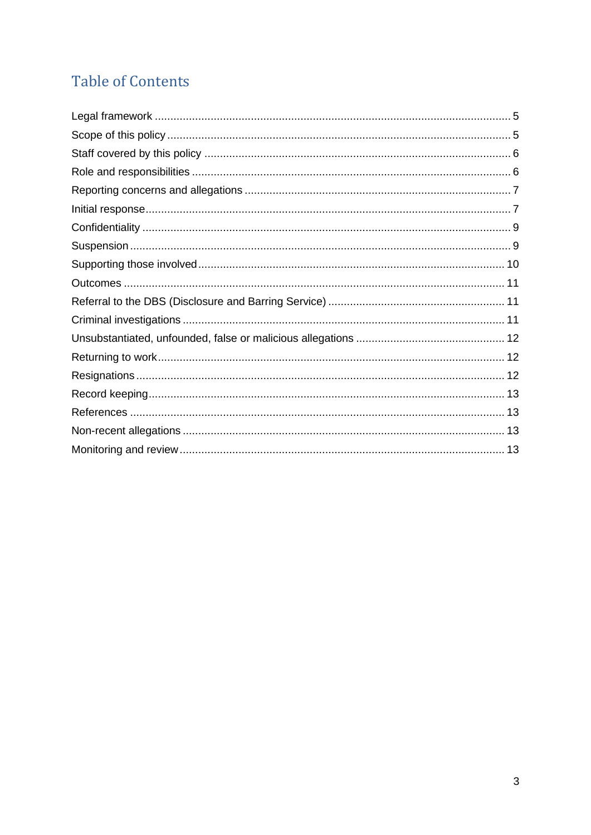## **Table of Contents**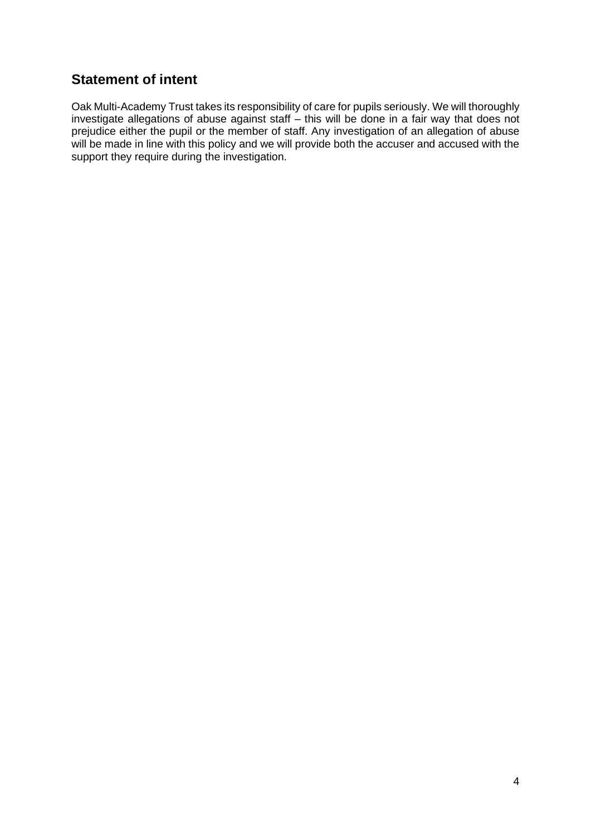## **Statement of intent**

Oak Multi-Academy Trust takes its responsibility of care for pupils seriously. We will thoroughly investigate allegations of abuse against staff – this will be done in a fair way that does not prejudice either the pupil or the member of staff. Any investigation of an allegation of abuse will be made in line with this policy and we will provide both the accuser and accused with the support they require during the investigation.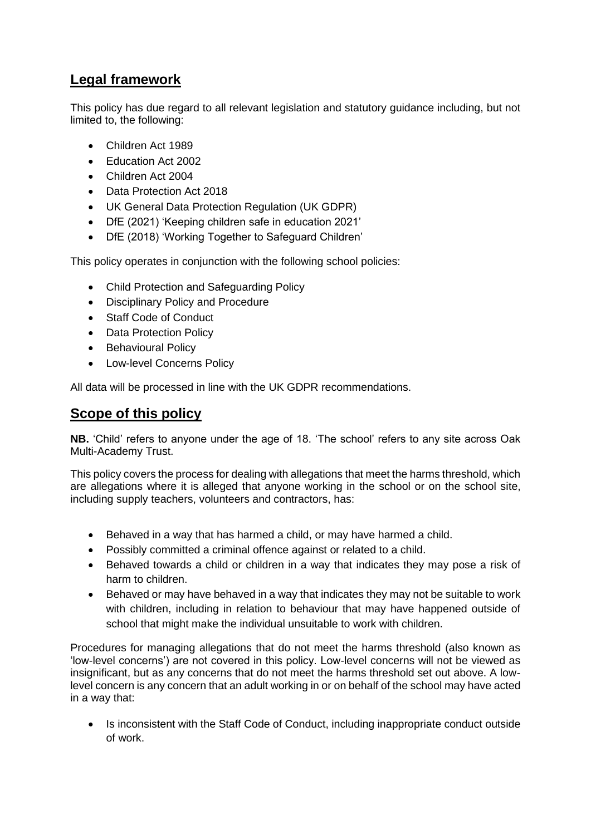## **Legal framework**

This policy has due regard to all relevant legislation and statutory guidance including, but not limited to, the following:

- Children Act 1989
- Education Act 2002
- Children Act 2004
- Data Protection Act 2018
- UK General Data Protection Regulation (UK GDPR)
- DfE (2021) 'Keeping children safe in education 2021'
- DfE (2018) 'Working Together to Safeguard Children'

This policy operates in conjunction with the following school policies:

- Child Protection and Safeguarding Policy
- Disciplinary Policy and Procedure
- Staff Code of Conduct
- Data Protection Policy
- Behavioural Policy
- Low-level Concerns Policy

All data will be processed in line with the UK GDPR recommendations.

#### **Scope of this policy**

**NB.** 'Child' refers to anyone under the age of 18. 'The school' refers to any site across Oak Multi-Academy Trust.

This policy covers the process for dealing with allegations that meet the harms threshold, which are allegations where it is alleged that anyone working in the school or on the school site, including supply teachers, volunteers and contractors, has:

- Behaved in a way that has harmed a child, or may have harmed a child.
- Possibly committed a criminal offence against or related to a child.
- Behaved towards a child or children in a way that indicates they may pose a risk of harm to children.
- Behaved or may have behaved in a way that indicates they may not be suitable to work with children, including in relation to behaviour that may have happened outside of school that might make the individual unsuitable to work with children.

Procedures for managing allegations that do not meet the harms threshold (also known as 'low-level concerns') are not covered in this policy. Low-level concerns will not be viewed as insignificant, but as any concerns that do not meet the harms threshold set out above. A lowlevel concern is any concern that an adult working in or on behalf of the school may have acted in a way that:

• Is inconsistent with the Staff Code of Conduct, including inappropriate conduct outside of work.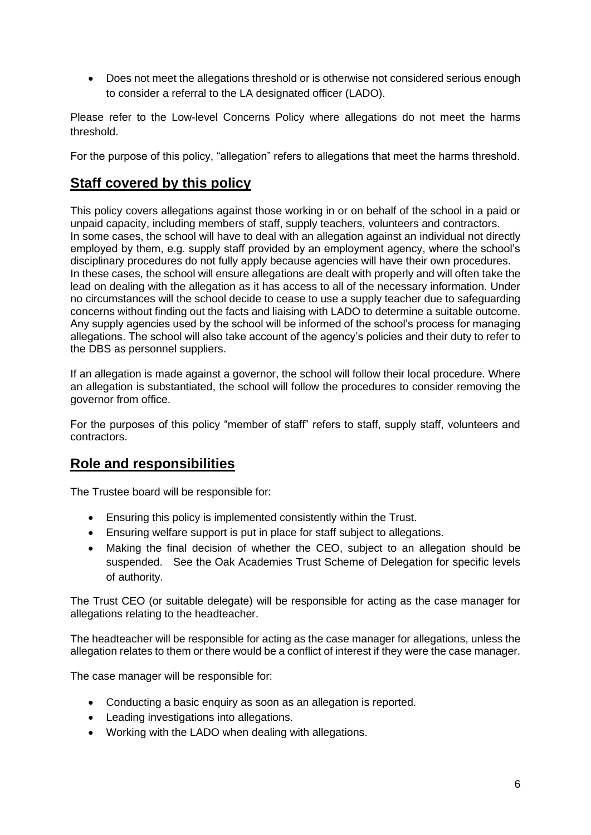• Does not meet the allegations threshold or is otherwise not considered serious enough to consider a referral to the LA designated officer (LADO).

Please refer to the Low-level Concerns Policy where allegations do not meet the harms threshold.

For the purpose of this policy, "allegation" refers to allegations that meet the harms threshold.

## **Staff covered by this policy**

This policy covers allegations against those working in or on behalf of the school in a paid or unpaid capacity, including members of staff, supply teachers, volunteers and contractors. In some cases, the school will have to deal with an allegation against an individual not directly employed by them, e.g. supply staff provided by an employment agency, where the school's disciplinary procedures do not fully apply because agencies will have their own procedures. In these cases, the school will ensure allegations are dealt with properly and will often take the lead on dealing with the allegation as it has access to all of the necessary information. Under no circumstances will the school decide to cease to use a supply teacher due to safeguarding concerns without finding out the facts and liaising with LADO to determine a suitable outcome. Any supply agencies used by the school will be informed of the school's process for managing allegations. The school will also take account of the agency's policies and their duty to refer to the DBS as personnel suppliers.

If an allegation is made against a governor, the school will follow their local procedure. Where an allegation is substantiated, the school will follow the procedures to consider removing the governor from office.

For the purposes of this policy "member of staff" refers to staff, supply staff, volunteers and contractors.

## **Role and responsibilities**

The Trustee board will be responsible for:

- Ensuring this policy is implemented consistently within the Trust.
- Ensuring welfare support is put in place for staff subject to allegations.
- Making the final decision of whether the CEO, subject to an allegation should be suspended. See the Oak Academies Trust Scheme of Delegation for specific levels of authority.

The Trust CEO (or suitable delegate) will be responsible for acting as the case manager for allegations relating to the headteacher.

The headteacher will be responsible for acting as the case manager for allegations, unless the allegation relates to them or there would be a conflict of interest if they were the case manager.

The case manager will be responsible for:

- Conducting a basic enquiry as soon as an allegation is reported.
- Leading investigations into allegations.
- Working with the LADO when dealing with allegations.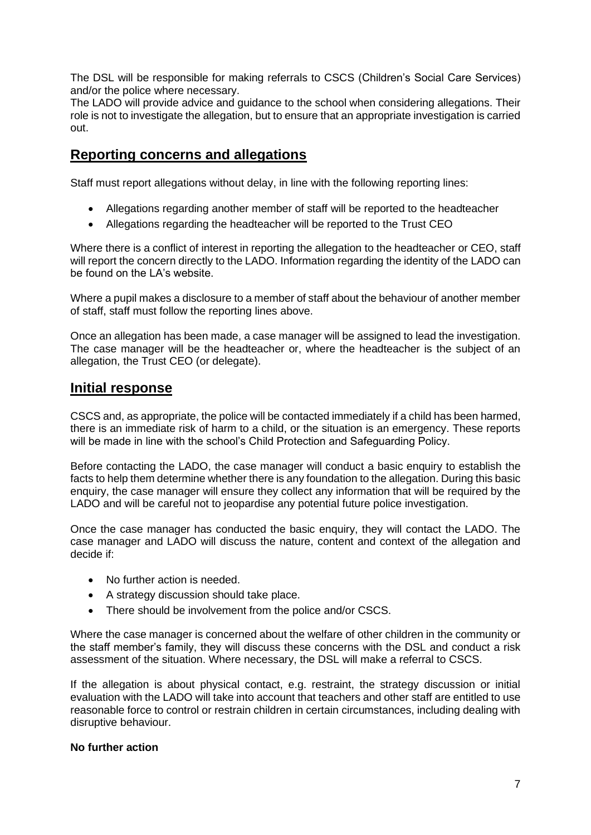The DSL will be responsible for making referrals to CSCS (Children's Social Care Services) and/or the police where necessary.

The LADO will provide advice and guidance to the school when considering allegations. Their role is not to investigate the allegation, but to ensure that an appropriate investigation is carried out.

#### **Reporting concerns and allegations**

Staff must report allegations without delay, in line with the following reporting lines:

- Allegations regarding another member of staff will be reported to the headteacher
- Allegations regarding the headteacher will be reported to the Trust CEO

Where there is a conflict of interest in reporting the allegation to the headteacher or CEO, staff will report the concern directly to the LADO. Information regarding the identity of the LADO can be found on the LA's website.

Where a pupil makes a disclosure to a member of staff about the behaviour of another member of staff, staff must follow the reporting lines above.

Once an allegation has been made, a case manager will be assigned to lead the investigation. The case manager will be the headteacher or, where the headteacher is the subject of an allegation, the Trust CEO (or delegate).

#### **Initial response**

CSCS and, as appropriate, the police will be contacted immediately if a child has been harmed, there is an immediate risk of harm to a child, or the situation is an emergency. These reports will be made in line with the school's Child Protection and Safeguarding Policy.

Before contacting the LADO, the case manager will conduct a basic enquiry to establish the facts to help them determine whether there is any foundation to the allegation. During this basic enquiry, the case manager will ensure they collect any information that will be required by the LADO and will be careful not to jeopardise any potential future police investigation.

Once the case manager has conducted the basic enquiry, they will contact the LADO. The case manager and LADO will discuss the nature, content and context of the allegation and decide if:

- No further action is needed.
- A strategy discussion should take place.
- There should be involvement from the police and/or CSCS.

Where the case manager is concerned about the welfare of other children in the community or the staff member's family, they will discuss these concerns with the DSL and conduct a risk assessment of the situation. Where necessary, the DSL will make a referral to CSCS.

If the allegation is about physical contact, e.g. restraint, the strategy discussion or initial evaluation with the LADO will take into account that teachers and other staff are entitled to use reasonable force to control or restrain children in certain circumstances, including dealing with disruptive behaviour.

#### **No further action**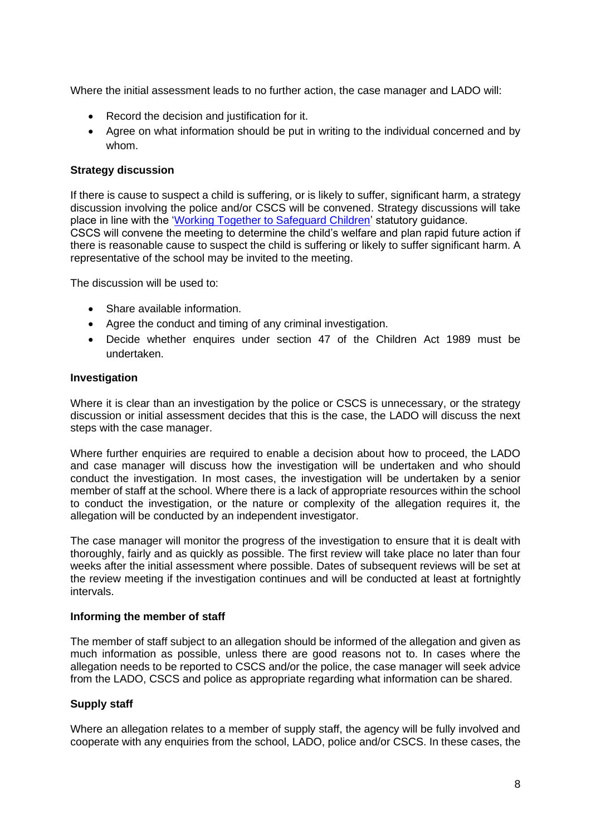Where the initial assessment leads to no further action, the case manager and LADO will:

- Record the decision and iustification for it.
- Agree on what information should be put in writing to the individual concerned and by whom.

#### **Strategy discussion**

If there is cause to suspect a child is suffering, or is likely to suffer, significant harm, a strategy discussion involving the police and/or CSCS will be convened. Strategy discussions will take place in line with the ['Working Together to Safeguard Children'](https://www.gov.uk/government/publications/working-together-to-safeguard-children--2) statutory quidance.

CSCS will convene the meeting to determine the child's welfare and plan rapid future action if there is reasonable cause to suspect the child is suffering or likely to suffer significant harm. A representative of the school may be invited to the meeting.

The discussion will be used to:

- Share available information.
- Agree the conduct and timing of any criminal investigation.
- Decide whether enquires under section 47 of the Children Act 1989 must be undertaken.

#### **Investigation**

Where it is clear than an investigation by the police or CSCS is unnecessary, or the strategy discussion or initial assessment decides that this is the case, the LADO will discuss the next steps with the case manager.

Where further enquiries are required to enable a decision about how to proceed, the LADO and case manager will discuss how the investigation will be undertaken and who should conduct the investigation. In most cases, the investigation will be undertaken by a senior member of staff at the school. Where there is a lack of appropriate resources within the school to conduct the investigation, or the nature or complexity of the allegation requires it, the allegation will be conducted by an independent investigator.

The case manager will monitor the progress of the investigation to ensure that it is dealt with thoroughly, fairly and as quickly as possible. The first review will take place no later than four weeks after the initial assessment where possible. Dates of subsequent reviews will be set at the review meeting if the investigation continues and will be conducted at least at fortnightly intervals.

#### **Informing the member of staff**

The member of staff subject to an allegation should be informed of the allegation and given as much information as possible, unless there are good reasons not to. In cases where the allegation needs to be reported to CSCS and/or the police, the case manager will seek advice from the LADO, CSCS and police as appropriate regarding what information can be shared.

#### **Supply staff**

Where an allegation relates to a member of supply staff, the agency will be fully involved and cooperate with any enquiries from the school, LADO, police and/or CSCS. In these cases, the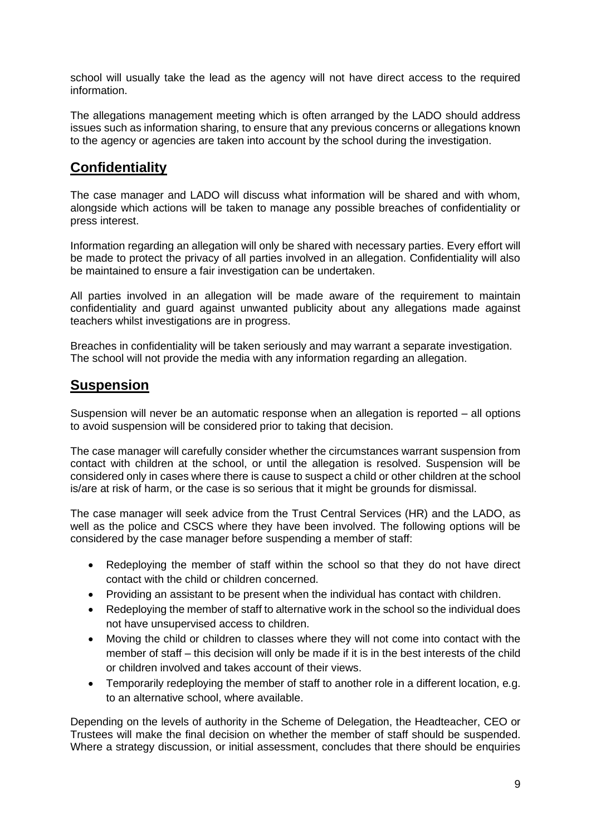school will usually take the lead as the agency will not have direct access to the required information.

The allegations management meeting which is often arranged by the LADO should address issues such as information sharing, to ensure that any previous concerns or allegations known to the agency or agencies are taken into account by the school during the investigation.

## **Confidentiality**

The case manager and LADO will discuss what information will be shared and with whom, alongside which actions will be taken to manage any possible breaches of confidentiality or press interest.

Information regarding an allegation will only be shared with necessary parties. Every effort will be made to protect the privacy of all parties involved in an allegation. Confidentiality will also be maintained to ensure a fair investigation can be undertaken.

All parties involved in an allegation will be made aware of the requirement to maintain confidentiality and guard against unwanted publicity about any allegations made against teachers whilst investigations are in progress.

Breaches in confidentiality will be taken seriously and may warrant a separate investigation. The school will not provide the media with any information regarding an allegation.

#### **Suspension**

Suspension will never be an automatic response when an allegation is reported – all options to avoid suspension will be considered prior to taking that decision.

The case manager will carefully consider whether the circumstances warrant suspension from contact with children at the school, or until the allegation is resolved. Suspension will be considered only in cases where there is cause to suspect a child or other children at the school is/are at risk of harm, or the case is so serious that it might be grounds for dismissal.

The case manager will seek advice from the Trust Central Services (HR) and the LADO, as well as the police and CSCS where they have been involved. The following options will be considered by the case manager before suspending a member of staff:

- Redeploying the member of staff within the school so that they do not have direct contact with the child or children concerned.
- Providing an assistant to be present when the individual has contact with children.
- Redeploying the member of staff to alternative work in the school so the individual does not have unsupervised access to children.
- Moving the child or children to classes where they will not come into contact with the member of staff – this decision will only be made if it is in the best interests of the child or children involved and takes account of their views.
- Temporarily redeploying the member of staff to another role in a different location, e.g. to an alternative school, where available.

Depending on the levels of authority in the Scheme of Delegation, the Headteacher, CEO or Trustees will make the final decision on whether the member of staff should be suspended. Where a strategy discussion, or initial assessment, concludes that there should be enquiries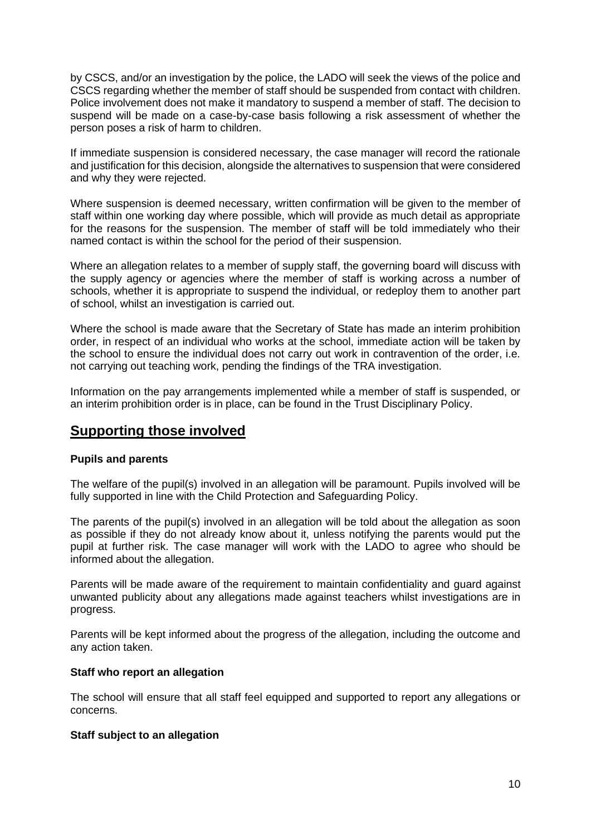by CSCS, and/or an investigation by the police, the LADO will seek the views of the police and CSCS regarding whether the member of staff should be suspended from contact with children. Police involvement does not make it mandatory to suspend a member of staff. The decision to suspend will be made on a case-by-case basis following a risk assessment of whether the person poses a risk of harm to children.

If immediate suspension is considered necessary, the case manager will record the rationale and justification for this decision, alongside the alternatives to suspension that were considered and why they were rejected.

Where suspension is deemed necessary, written confirmation will be given to the member of staff within one working day where possible, which will provide as much detail as appropriate for the reasons for the suspension. The member of staff will be told immediately who their named contact is within the school for the period of their suspension.

Where an allegation relates to a member of supply staff, the governing board will discuss with the supply agency or agencies where the member of staff is working across a number of schools, whether it is appropriate to suspend the individual, or redeploy them to another part of school, whilst an investigation is carried out.

Where the school is made aware that the Secretary of State has made an interim prohibition order, in respect of an individual who works at the school, immediate action will be taken by the school to ensure the individual does not carry out work in contravention of the order, i.e. not carrying out teaching work, pending the findings of the TRA investigation.

Information on the pay arrangements implemented while a member of staff is suspended, or an interim prohibition order is in place, can be found in the Trust Disciplinary Policy.

#### **Supporting those involved**

#### **Pupils and parents**

The welfare of the pupil(s) involved in an allegation will be paramount. Pupils involved will be fully supported in line with the Child Protection and Safeguarding Policy.

The parents of the pupil(s) involved in an allegation will be told about the allegation as soon as possible if they do not already know about it, unless notifying the parents would put the pupil at further risk. The case manager will work with the LADO to agree who should be informed about the allegation.

Parents will be made aware of the requirement to maintain confidentiality and guard against unwanted publicity about any allegations made against teachers whilst investigations are in progress.

Parents will be kept informed about the progress of the allegation, including the outcome and any action taken.

#### **Staff who report an allegation**

The school will ensure that all staff feel equipped and supported to report any allegations or concerns.

#### **Staff subject to an allegation**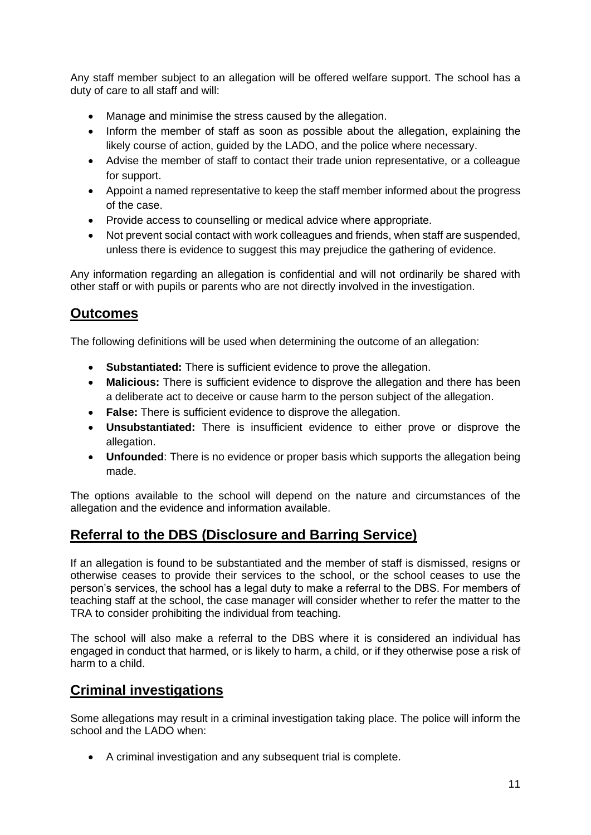Any staff member subject to an allegation will be offered welfare support. The school has a duty of care to all staff and will:

- Manage and minimise the stress caused by the allegation.
- Inform the member of staff as soon as possible about the allegation, explaining the likely course of action, guided by the LADO, and the police where necessary.
- Advise the member of staff to contact their trade union representative, or a colleague for support.
- Appoint a named representative to keep the staff member informed about the progress of the case.
- Provide access to counselling or medical advice where appropriate.
- Not prevent social contact with work colleagues and friends, when staff are suspended, unless there is evidence to suggest this may prejudice the gathering of evidence.

Any information regarding an allegation is confidential and will not ordinarily be shared with other staff or with pupils or parents who are not directly involved in the investigation.

## **Outcomes**

The following definitions will be used when determining the outcome of an allegation:

- **Substantiated:** There is sufficient evidence to prove the allegation.
- **Malicious:** There is sufficient evidence to disprove the allegation and there has been a deliberate act to deceive or cause harm to the person subject of the allegation.
- **False:** There is sufficient evidence to disprove the allegation.
- **Unsubstantiated:** There is insufficient evidence to either prove or disprove the allegation.
- **Unfounded**: There is no evidence or proper basis which supports the allegation being made.

The options available to the school will depend on the nature and circumstances of the allegation and the evidence and information available.

## **Referral to the DBS (Disclosure and Barring Service)**

If an allegation is found to be substantiated and the member of staff is dismissed, resigns or otherwise ceases to provide their services to the school, or the school ceases to use the person's services, the school has a legal duty to make a referral to the DBS. For members of teaching staff at the school, the case manager will consider whether to refer the matter to the TRA to consider prohibiting the individual from teaching.

The school will also make a referral to the DBS where it is considered an individual has engaged in conduct that harmed, or is likely to harm, a child, or if they otherwise pose a risk of harm to a child.

## **Criminal investigations**

Some allegations may result in a criminal investigation taking place. The police will inform the school and the LADO when:

• A criminal investigation and any subsequent trial is complete.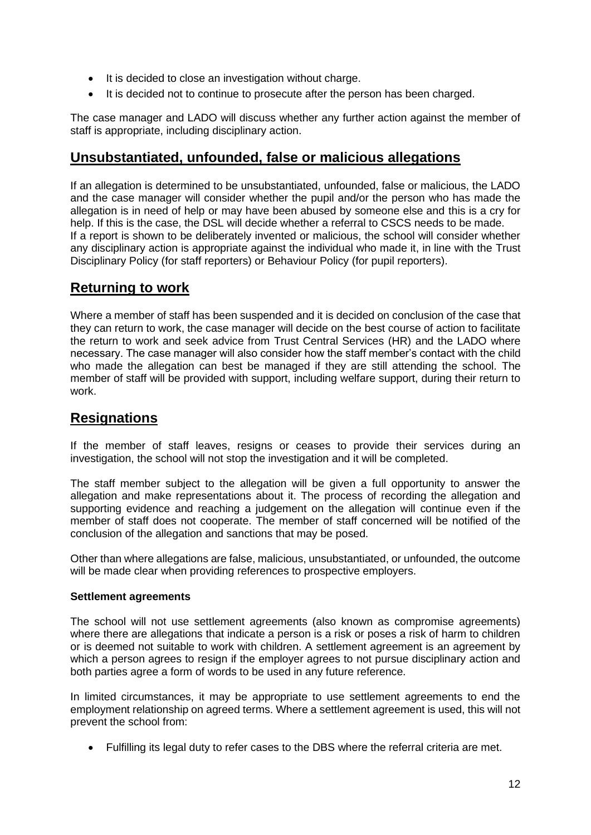- It is decided to close an investigation without charge.
- It is decided not to continue to prosecute after the person has been charged.

The case manager and LADO will discuss whether any further action against the member of staff is appropriate, including disciplinary action.

#### **Unsubstantiated, unfounded, false or malicious allegations**

If an allegation is determined to be unsubstantiated, unfounded, false or malicious, the LADO and the case manager will consider whether the pupil and/or the person who has made the allegation is in need of help or may have been abused by someone else and this is a cry for help. If this is the case, the DSL will decide whether a referral to CSCS needs to be made. If a report is shown to be deliberately invented or malicious, the school will consider whether any disciplinary action is appropriate against the individual who made it, in line with the Trust Disciplinary Policy (for staff reporters) or Behaviour Policy (for pupil reporters).

#### **Returning to work**

Where a member of staff has been suspended and it is decided on conclusion of the case that they can return to work, the case manager will decide on the best course of action to facilitate the return to work and seek advice from Trust Central Services (HR) and the LADO where necessary. The case manager will also consider how the staff member's contact with the child who made the allegation can best be managed if they are still attending the school. The member of staff will be provided with support, including welfare support, during their return to work.

#### **Resignations**

If the member of staff leaves, resigns or ceases to provide their services during an investigation, the school will not stop the investigation and it will be completed.

The staff member subject to the allegation will be given a full opportunity to answer the allegation and make representations about it. The process of recording the allegation and supporting evidence and reaching a judgement on the allegation will continue even if the member of staff does not cooperate. The member of staff concerned will be notified of the conclusion of the allegation and sanctions that may be posed.

Other than where allegations are false, malicious, unsubstantiated, or unfounded, the outcome will be made clear when providing references to prospective employers.

#### **Settlement agreements**

The school will not use settlement agreements (also known as compromise agreements) where there are allegations that indicate a person is a risk or poses a risk of harm to children or is deemed not suitable to work with children. A settlement agreement is an agreement by which a person agrees to resign if the employer agrees to not pursue disciplinary action and both parties agree a form of words to be used in any future reference.

In limited circumstances, it may be appropriate to use settlement agreements to end the employment relationship on agreed terms. Where a settlement agreement is used, this will not prevent the school from:

• Fulfilling its legal duty to refer cases to the DBS where the referral criteria are met.